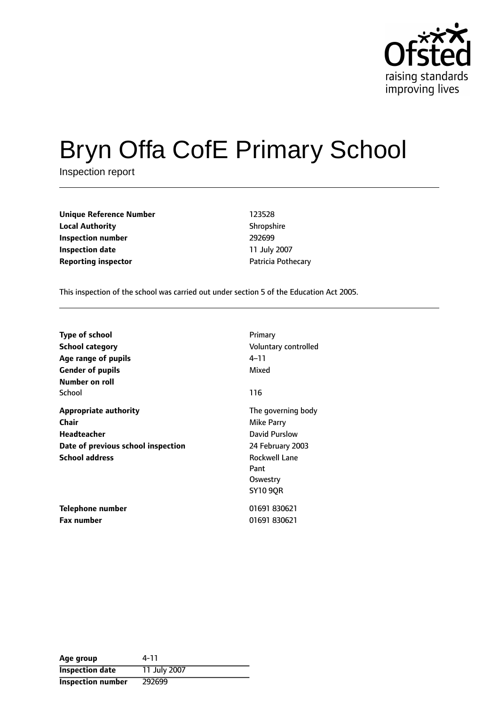

# Bryn Offa CofE Primary School

Inspection report

**Unique Reference Number** 123528 **Local Authority** Shropshire **Inspection number** 292699 **Inspection date** 11 July 2007 **Reporting inspector CONFIDENTIFY PATRICIA POTHECALL** 

This inspection of the school was carried out under section 5 of the Education Act 2005.

| <b>Type of school</b>                                                                                                      | Primary                                                                                                                              |
|----------------------------------------------------------------------------------------------------------------------------|--------------------------------------------------------------------------------------------------------------------------------------|
| <b>School category</b>                                                                                                     | Voluntary controlled                                                                                                                 |
| Age range of pupils                                                                                                        | 4–11                                                                                                                                 |
| <b>Gender of pupils</b>                                                                                                    | Mixed                                                                                                                                |
| Number on roll<br>School                                                                                                   | 116                                                                                                                                  |
| <b>Appropriate authority</b><br>Chair<br><b>Headteacher</b><br>Date of previous school inspection<br><b>School address</b> | The governing body<br>Mike Parry<br>David Purslow<br>24 February 2003<br><b>Rockwell Lane</b><br>Pant<br>Oswestry<br><b>SY10 9OR</b> |
| Telephone number                                                                                                           | 01691 830621                                                                                                                         |
| <b>Fax number</b>                                                                                                          | 01691 830621                                                                                                                         |

| Age group                | 4-11         |
|--------------------------|--------------|
| <b>Inspection date</b>   | 11 July 2007 |
| <b>Inspection number</b> | 292699       |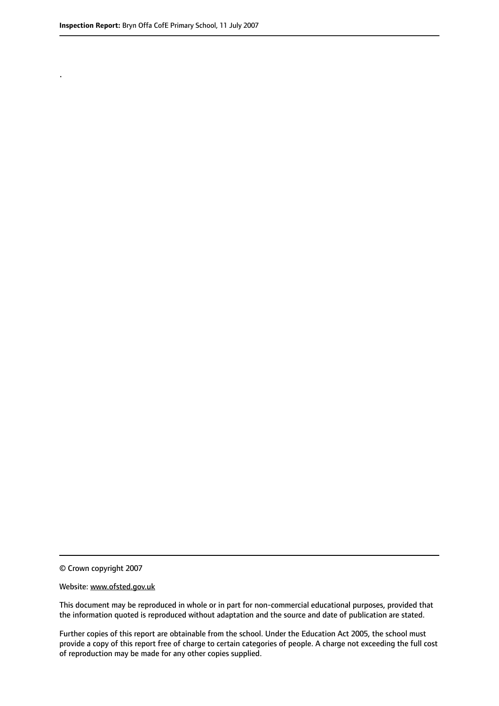.

© Crown copyright 2007

#### Website: www.ofsted.gov.uk

This document may be reproduced in whole or in part for non-commercial educational purposes, provided that the information quoted is reproduced without adaptation and the source and date of publication are stated.

Further copies of this report are obtainable from the school. Under the Education Act 2005, the school must provide a copy of this report free of charge to certain categories of people. A charge not exceeding the full cost of reproduction may be made for any other copies supplied.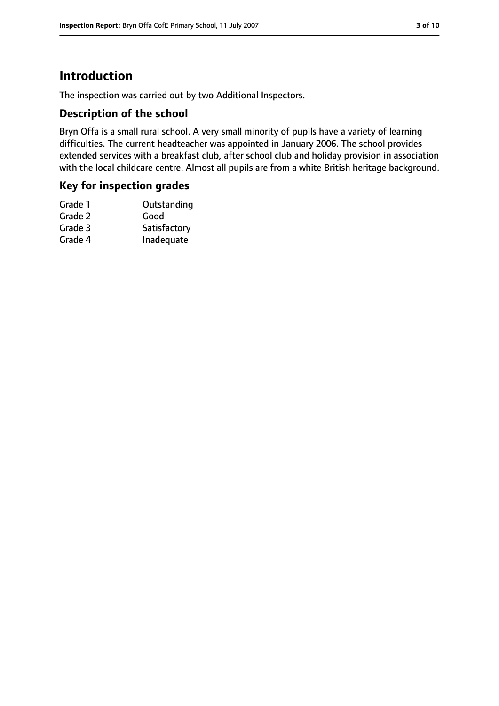# **Introduction**

The inspection was carried out by two Additional Inspectors.

#### **Description of the school**

Bryn Offa is a small rural school. A very small minority of pupils have a variety of learning difficulties. The current headteacher was appointed in January 2006. The school provides extended services with a breakfast club, after school club and holiday provision in association with the local childcare centre. Almost all pupils are from a white British heritage background.

#### **Key for inspection grades**

| Grade 1 | Outstanding  |
|---------|--------------|
| Grade 2 | Good         |
| Grade 3 | Satisfactory |
| Grade 4 | Inadequate   |
|         |              |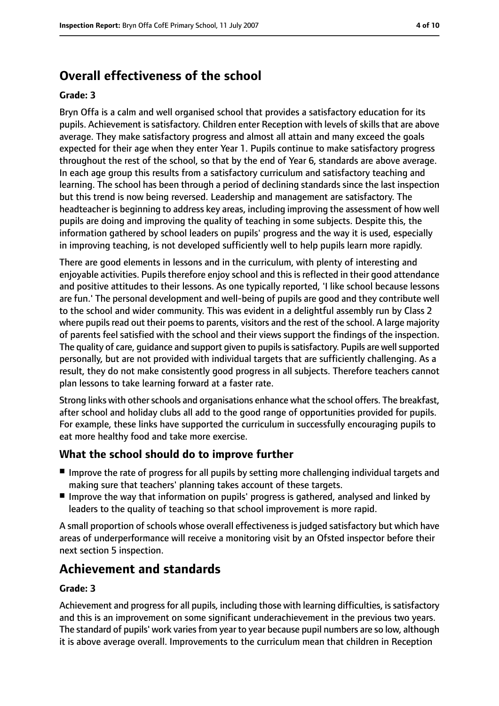# **Overall effectiveness of the school**

#### **Grade: 3**

Bryn Offa is a calm and well organised school that provides a satisfactory education for its pupils. Achievement is satisfactory. Children enter Reception with levels of skills that are above average. They make satisfactory progress and almost all attain and many exceed the goals expected for their age when they enter Year 1. Pupils continue to make satisfactory progress throughout the rest of the school, so that by the end of Year 6, standards are above average. In each age group this results from a satisfactory curriculum and satisfactory teaching and learning. The school has been through a period of declining standards since the last inspection but this trend is now being reversed. Leadership and management are satisfactory. The headteacher is beginning to address key areas, including improving the assessment of how well pupils are doing and improving the quality of teaching in some subjects. Despite this, the information gathered by school leaders on pupils' progress and the way it is used, especially in improving teaching, is not developed sufficiently well to help pupils learn more rapidly.

There are good elements in lessons and in the curriculum, with plenty of interesting and enjoyable activities. Pupils therefore enjoy school and this is reflected in their good attendance and positive attitudes to their lessons. As one typically reported, 'I like school because lessons are fun.' The personal development and well-being of pupils are good and they contribute well to the school and wider community. This was evident in a delightful assembly run by Class 2 where pupils read out their poems to parents, visitors and the rest of the school. A large majority of parents feel satisfied with the school and their views support the findings of the inspection. The quality of care, quidance and support given to pupils is satisfactory. Pupils are well supported personally, but are not provided with individual targets that are sufficiently challenging. As a result, they do not make consistently good progress in all subjects. Therefore teachers cannot plan lessons to take learning forward at a faster rate.

Strong links with other schools and organisations enhance what the school offers. The breakfast, after school and holiday clubs all add to the good range of opportunities provided for pupils. For example, these links have supported the curriculum in successfully encouraging pupils to eat more healthy food and take more exercise.

#### **What the school should do to improve further**

- Improve the rate of progress for all pupils by setting more challenging individual targets and making sure that teachers' planning takes account of these targets.
- Improve the way that information on pupils' progress is gathered, analysed and linked by leaders to the quality of teaching so that school improvement is more rapid.

A small proportion of schools whose overall effectiveness is judged satisfactory but which have areas of underperformance will receive a monitoring visit by an Ofsted inspector before their next section 5 inspection.

# **Achievement and standards**

#### **Grade: 3**

Achievement and progress for all pupils, including those with learning difficulties, issatisfactory and this is an improvement on some significant underachievement in the previous two years. The standard of pupils' work varies from year to year because pupil numbers are so low, although it is above average overall. Improvements to the curriculum mean that children in Reception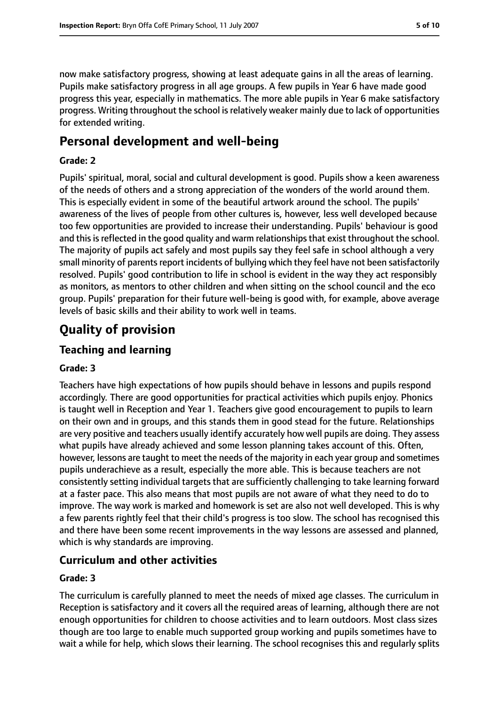now make satisfactory progress, showing at least adequate gains in all the areas of learning. Pupils make satisfactory progress in all age groups. A few pupils in Year 6 have made good progress this year, especially in mathematics. The more able pupils in Year 6 make satisfactory progress. Writing throughout the school isrelatively weaker mainly due to lack of opportunities for extended writing.

## **Personal development and well-being**

#### **Grade: 2**

Pupils' spiritual, moral, social and cultural development is good. Pupils show a keen awareness of the needs of others and a strong appreciation of the wonders of the world around them. This is especially evident in some of the beautiful artwork around the school. The pupils' awareness of the lives of people from other cultures is, however, less well developed because too few opportunities are provided to increase their understanding. Pupils' behaviour is good and this is reflected in the good quality and warm relationships that exist throughout the school. The majority of pupils act safely and most pupils say they feel safe in school although a very small minority of parents report incidents of bullying which they feel have not been satisfactorily resolved. Pupils' good contribution to life in school is evident in the way they act responsibly as monitors, as mentors to other children and when sitting on the school council and the eco group. Pupils' preparation for their future well-being is good with, for example, above average levels of basic skills and their ability to work well in teams.

# **Quality of provision**

## **Teaching and learning**

#### **Grade: 3**

Teachers have high expectations of how pupils should behave in lessons and pupils respond accordingly. There are good opportunities for practical activities which pupils enjoy. Phonics is taught well in Reception and Year 1. Teachers give good encouragement to pupils to learn on their own and in groups, and this stands them in good stead for the future. Relationships are very positive and teachers usually identify accurately how well pupils are doing. They assess what pupils have already achieved and some lesson planning takes account of this. Often, however, lessons are taught to meet the needs of the majority in each year group and sometimes pupils underachieve as a result, especially the more able. This is because teachers are not consistently setting individual targets that are sufficiently challenging to take learning forward at a faster pace. This also means that most pupils are not aware of what they need to do to improve. The way work is marked and homework is set are also not well developed. This is why a few parents rightly feel that their child's progress is too slow. The school has recognised this and there have been some recent improvements in the way lessons are assessed and planned, which is why standards are improving.

#### **Curriculum and other activities**

#### **Grade: 3**

The curriculum is carefully planned to meet the needs of mixed age classes. The curriculum in Reception is satisfactory and it covers all the required areas of learning, although there are not enough opportunities for children to choose activities and to learn outdoors. Most class sizes though are too large to enable much supported group working and pupils sometimes have to wait a while for help, which slows their learning. The school recognises this and regularly splits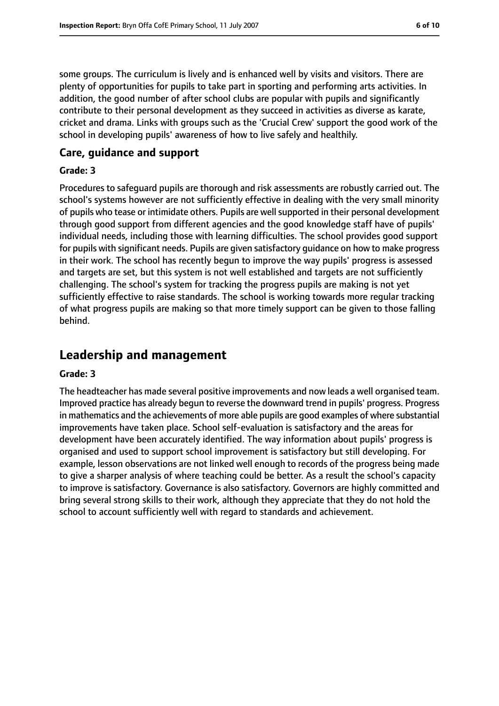some groups. The curriculum is lively and is enhanced well by visits and visitors. There are plenty of opportunities for pupils to take part in sporting and performing arts activities. In addition, the good number of after school clubs are popular with pupils and significantly contribute to their personal development as they succeed in activities as diverse as karate, cricket and drama. Links with groups such as the 'Crucial Crew' support the good work of the school in developing pupils' awareness of how to live safely and healthily.

#### **Care, guidance and support**

#### **Grade: 3**

Procedures to safeguard pupils are thorough and risk assessments are robustly carried out. The school's systems however are not sufficiently effective in dealing with the very small minority of pupils who tease or intimidate others. Pupils are well supported in their personal development through good support from different agencies and the good knowledge staff have of pupils' individual needs, including those with learning difficulties. The school provides good support for pupils with significant needs. Pupils are given satisfactory guidance on how to make progress in their work. The school has recently begun to improve the way pupils' progress is assessed and targets are set, but this system is not well established and targets are not sufficiently challenging. The school's system for tracking the progress pupils are making is not yet sufficiently effective to raise standards. The school is working towards more regular tracking of what progress pupils are making so that more timely support can be given to those falling behind.

## **Leadership and management**

#### **Grade: 3**

The headteacher has made several positive improvements and now leads a well organised team. Improved practice has already begun to reverse the downward trend in pupils' progress. Progress in mathematics and the achievements of more able pupils are good examples of where substantial improvements have taken place. School self-evaluation is satisfactory and the areas for development have been accurately identified. The way information about pupils' progress is organised and used to support school improvement is satisfactory but still developing. For example, lesson observations are not linked well enough to records of the progress being made to give a sharper analysis of where teaching could be better. As a result the school's capacity to improve is satisfactory. Governance is also satisfactory. Governors are highly committed and bring several strong skills to their work, although they appreciate that they do not hold the school to account sufficiently well with regard to standards and achievement.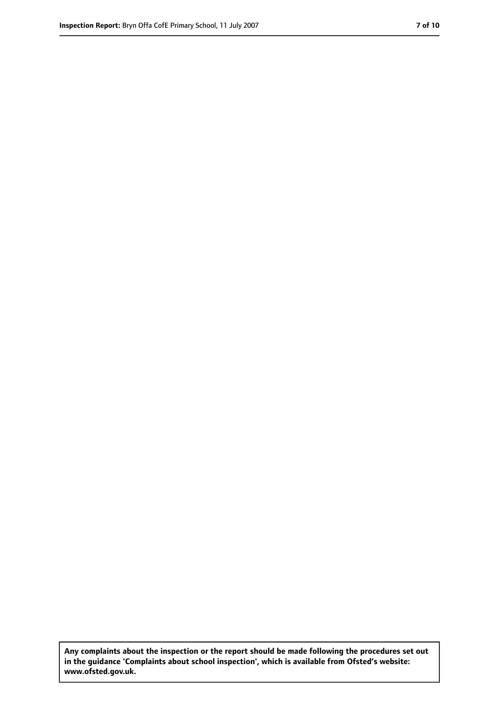**Any complaints about the inspection or the report should be made following the procedures set out in the guidance 'Complaints about school inspection', which is available from Ofsted's website: www.ofsted.gov.uk.**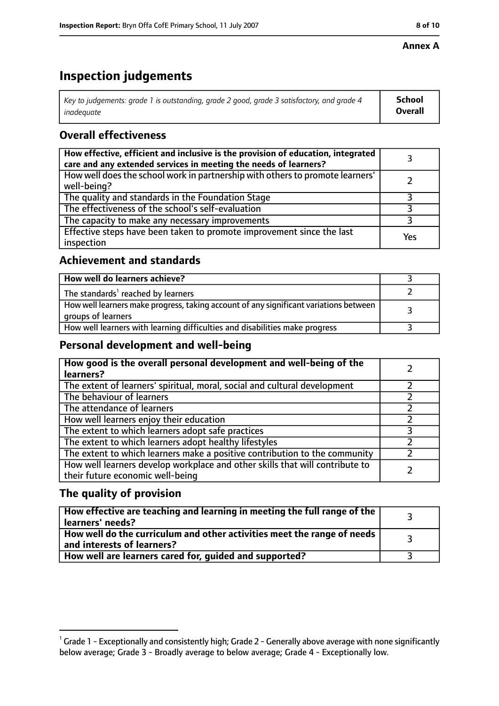#### **Annex A**

# **Inspection judgements**

| Key to judgements: grade 1 is outstanding, grade 2 good, grade 3 satisfactory, and grade 4 | <b>School</b>  |
|--------------------------------------------------------------------------------------------|----------------|
| inadeauate                                                                                 | <b>Overall</b> |

## **Overall effectiveness**

| How effective, efficient and inclusive is the provision of education, integrated<br>care and any extended services in meeting the needs of learners? |     |
|------------------------------------------------------------------------------------------------------------------------------------------------------|-----|
| How well does the school work in partnership with others to promote learners'<br>well-being?                                                         |     |
| The quality and standards in the Foundation Stage                                                                                                    |     |
| The effectiveness of the school's self-evaluation                                                                                                    |     |
| The capacity to make any necessary improvements                                                                                                      |     |
| Effective steps have been taken to promote improvement since the last<br>inspection                                                                  | Yes |

## **Achievement and standards**

| How well do learners achieve?                                                                               |  |
|-------------------------------------------------------------------------------------------------------------|--|
| The standards <sup>1</sup> reached by learners                                                              |  |
| How well learners make progress, taking account of any significant variations between<br>groups of learners |  |
| How well learners with learning difficulties and disabilities make progress                                 |  |

### **Personal development and well-being**

| How good is the overall personal development and well-being of the<br>learners?                                  |  |
|------------------------------------------------------------------------------------------------------------------|--|
| The extent of learners' spiritual, moral, social and cultural development                                        |  |
| The behaviour of learners                                                                                        |  |
| The attendance of learners                                                                                       |  |
| How well learners enjoy their education                                                                          |  |
| The extent to which learners adopt safe practices                                                                |  |
| The extent to which learners adopt healthy lifestyles                                                            |  |
| The extent to which learners make a positive contribution to the community                                       |  |
| How well learners develop workplace and other skills that will contribute to<br>their future economic well-being |  |

## **The quality of provision**

| How effective are teaching and learning in meeting the full range of the<br>learners' needs?          |  |
|-------------------------------------------------------------------------------------------------------|--|
| How well do the curriculum and other activities meet the range of needs<br>and interests of learners? |  |
| How well are learners cared for, guided and supported?                                                |  |

 $^1$  Grade 1 - Exceptionally and consistently high; Grade 2 - Generally above average with none significantly below average; Grade 3 - Broadly average to below average; Grade 4 - Exceptionally low.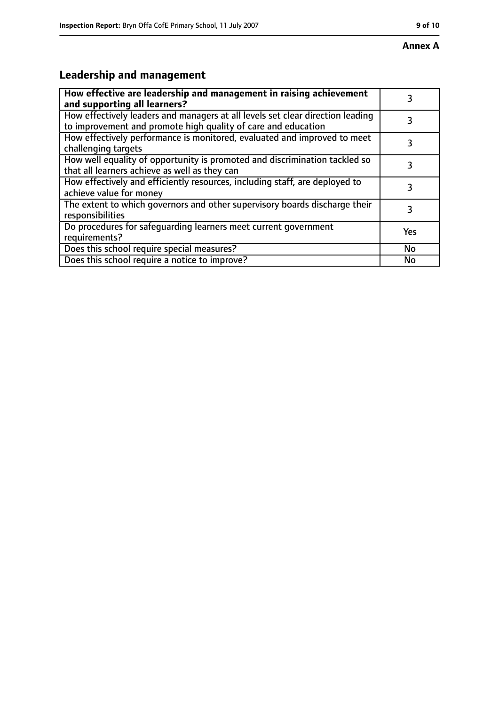# **Leadership and management**

| How effective are leadership and management in raising achievement<br>and supporting all learners?                                              |           |
|-------------------------------------------------------------------------------------------------------------------------------------------------|-----------|
| How effectively leaders and managers at all levels set clear direction leading<br>to improvement and promote high quality of care and education |           |
| How effectively performance is monitored, evaluated and improved to meet<br>challenging targets                                                 | 3         |
| How well equality of opportunity is promoted and discrimination tackled so<br>that all learners achieve as well as they can                     |           |
| How effectively and efficiently resources, including staff, are deployed to<br>achieve value for money                                          | 3         |
| The extent to which governors and other supervisory boards discharge their<br>responsibilities                                                  | 3         |
| Do procedures for safequarding learners meet current government<br>requirements?                                                                | Yes       |
| Does this school require special measures?                                                                                                      | <b>No</b> |
| Does this school require a notice to improve?                                                                                                   | No        |